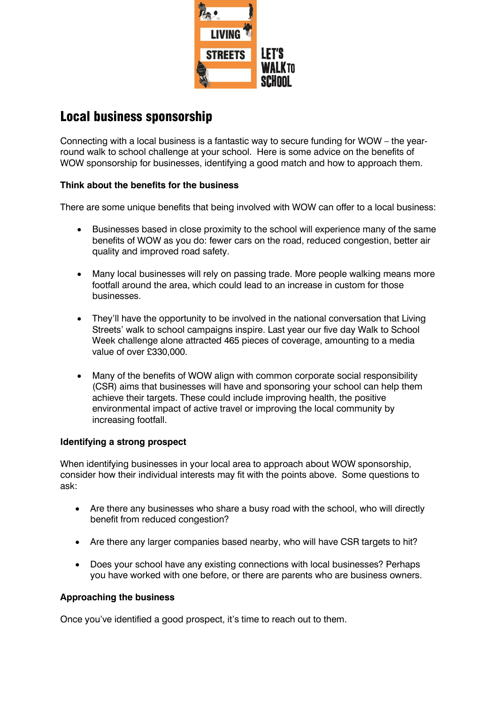

## Local business sponsorship

Connecting with a local business is a fantastic way to secure funding for WOW – the yearround walk to school challenge at your school. Here is some advice on the benefits of WOW sponsorship for businesses, identifying a good match and how to approach them.

## **Think about the benefits for the business**

There are some unique benefits that being involved with WOW can offer to a local business:

- Businesses based in close proximity to the school will experience many of the same benefits of WOW as you do: fewer cars on the road, reduced congestion, better air quality and improved road safety.
- Many local businesses will rely on passing trade. More people walking means more footfall around the area, which could lead to an increase in custom for those businesses.
- They'll have the opportunity to be involved in the national conversation that Living Streets' walk to school campaigns inspire. Last year our five day Walk to School Week challenge alone attracted 465 pieces of coverage, amounting to a media value of over £330,000.
- Many of the benefits of WOW align with common corporate social responsibility (CSR) aims that businesses will have and sponsoring your school can help them achieve their targets. These could include improving health, the positive environmental impact of active travel or improving the local community by increasing footfall.

## **Identifying a strong prospect**

When identifying businesses in your local area to approach about WOW sponsorship, consider how their individual interests may fit with the points above. Some questions to ask:

- Are there any businesses who share a busy road with the school, who will directly benefit from reduced congestion?
- Are there any larger companies based nearby, who will have CSR targets to hit?
- Does your school have any existing connections with local businesses? Perhaps you have worked with one before, or there are parents who are business owners.

## **Approaching the business**

Once you've identified a good prospect, it's time to reach out to them.